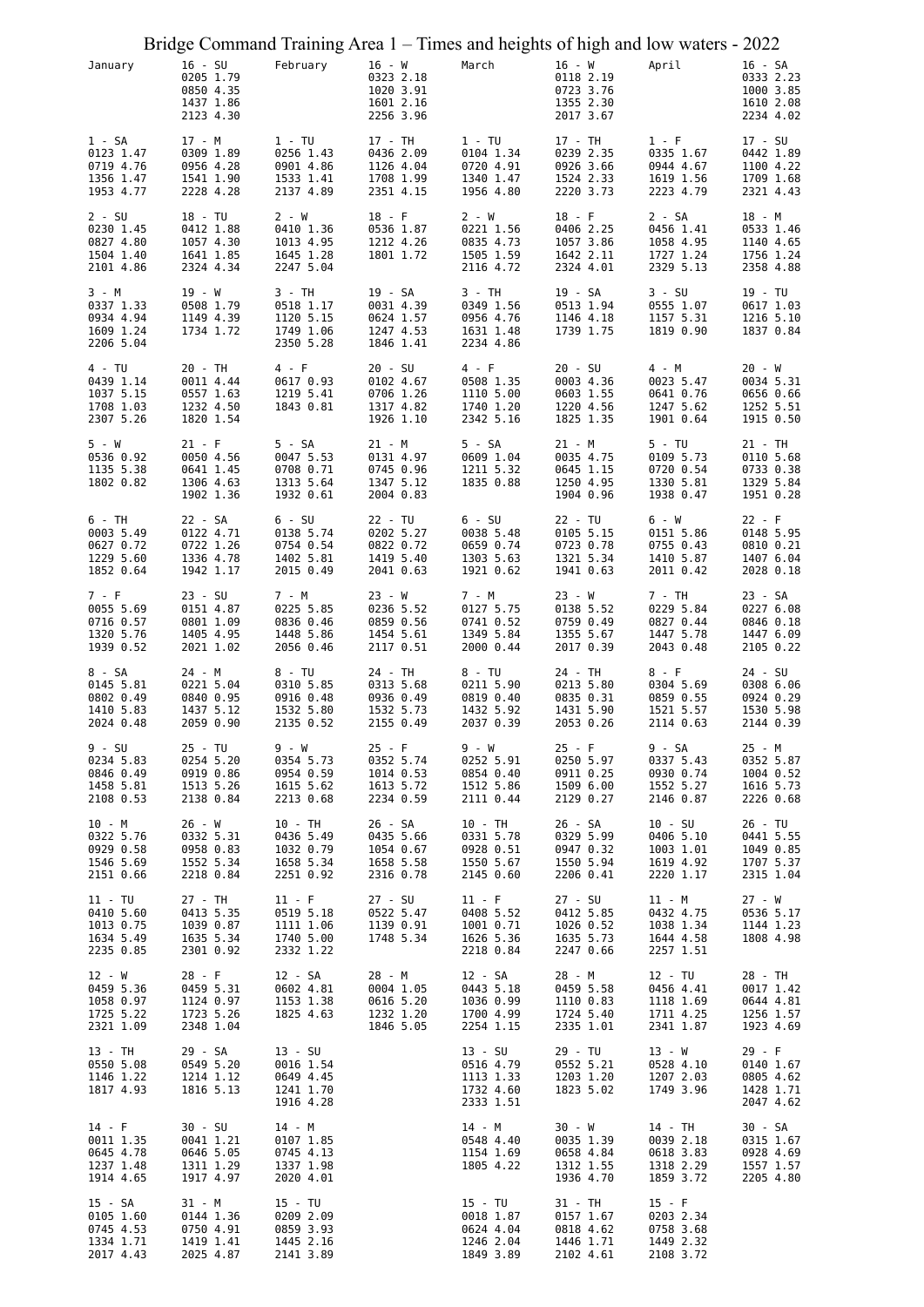|                                                              | Bridge Command Training Area 1 – Times and heights of high and low waters - 2022 |                                                               |                                                               |                                                              |                                                              |                                                              |                                                               |
|--------------------------------------------------------------|----------------------------------------------------------------------------------|---------------------------------------------------------------|---------------------------------------------------------------|--------------------------------------------------------------|--------------------------------------------------------------|--------------------------------------------------------------|---------------------------------------------------------------|
| January                                                      | $16 - SU$<br>0205 1.79<br>0850 4.35<br>1437 1.86<br>2123 4.30                    | February                                                      | $16 - W$<br>0323 2.18<br>1020 3.91<br>1601 2.16<br>2256 3.96  | March                                                        | $16 - W$<br>0118 2.19<br>0723 3.76<br>1355 2.30<br>2017 3.67 | April                                                        | $16 - SA$<br>0333 2.23<br>1000 3.85<br>1610 2.08<br>2234 4.02 |
| 1 - SA<br>0123 1.47<br>0719 4.76<br>1356 1.47<br>1953 4.77   | 17 - M<br>0309 1.89<br>0956 4.28<br>1541 1.90<br>2228 4.28                       | $1 - TU$<br>0256 1.43<br>0901 4.86<br>1533 1.41<br>2137 4.89  | 17 - TH<br>0436 2.09<br>1126 4.04<br>1708 1.99<br>2351 4.15   | $1 - TU$<br>0104 1.34<br>0720 4.91<br>1340 1.47<br>1956 4.80 | 17 - TH<br>0239 2.35<br>0926 3.66<br>1524 2.33<br>2220 3.73  | $1 - F$<br>0335 1.67<br>0944 4.67<br>1619 1.56<br>2223 4.79  | 17 - SU<br>0442 1.89<br>1100 4.22<br>1709 1.68<br>2321 4.43   |
| $2 - SU$<br>0230 1.45<br>0827 4.80<br>1504 1.40<br>2101 4.86 | 18 - TU<br>0412 1.88<br>1057 4.30<br>1641 1.85<br>2324 4.34                      | 2 - W<br>0410 1.36<br>1013 4.95<br>1645 1.28<br>2247 5.04     | $18 - F$<br>0536 1.87<br>1212 4.26<br>1801 1.72               | 2 - W<br>0221 1.56<br>0835 4.73<br>1505 1.59<br>2116 4.72    | $18 - F$<br>0406 2.25<br>1057 3.86<br>1642 2.11<br>2324 4.01 | 2 - SA<br>0456 1.41<br>1058 4.95<br>1727 1.24<br>2329 5.13   | 18 - M<br>0533 1.46<br>1140 4.65<br>1756 1.24<br>2358 4.88    |
| 3 - M<br>0337 1.33<br>0934 4.94<br>1609 1.24<br>2206 5.04    | 19 - W<br>0508 1.79<br>1149 4.39<br>1734 1.72                                    | 3 - TH<br>0518 1.17<br>1120 5.15<br>1749 1.06<br>2350 5.28    | 19 - SA<br>0031 4.39<br>0624 1.57<br>1247 4.53<br>1846 1.41   | 3 - TH<br>0349 1.56<br>0956 4.76<br>1631 1.48<br>2234 4.86   | 19 - SA<br>0513 1.94<br>1146 4.18<br>1739 1.75               | $3 - SU$<br>0555 1.07<br>1157 5.31<br>1819 0.90              | 19 - TU<br>0617 1.03<br>1216 5.10<br>1837 0.84                |
| 4 - TU<br>0439 1.14<br>1037 5.15<br>1708 1.03<br>2307 5.26   | 20 - TH<br>0011 4.44<br>0557 1.63<br>1232 4.50<br>1820 1.54                      | 4 - F<br>0617 0.93<br>1219 5.41<br>1843 0.81                  | $20 - SU$<br>0102 4.67<br>0706 1.26<br>1317 4.82<br>1926 1.10 | 4 - F<br>0508 1.35<br>1110 5.00<br>1740 1.20<br>2342 5.16    | 20 - SU<br>0003 4.36<br>0603 1.55<br>1220 4.56<br>1825 1.35  | 4 - M<br>0023 5.47<br>0641 0.76<br>1247 5.62<br>1901 0.64    | 20 - W<br>0034 5.31<br>0656 0.66<br>1252 5.51<br>1915 0.50    |
| $5 - W$<br>0536 0.92<br>1135 5.38<br>1802 0.82               | $21 - F$<br>0050 4.56<br>0641 1.45<br>1306 4.63<br>1902 1.36                     | 5 - SA<br>0047 5.53<br>0708 0.71<br>1313 5.64<br>1932 0.61    | 21 - M<br>0131 4.97<br>0745 0.96<br>1347 5.12<br>2004 0.83    | 5 - SA<br>0609 1.04<br>1211 5.32<br>1835 0.88                | 21 - M<br>0035 4.75<br>0645 1.15<br>1250 4.95<br>1904 0.96   | $5 - TU$<br>0109 5.73<br>0720 0.54<br>1330 5.81<br>1938 0.47 | 21 - TH<br>0110 5.68<br>0733 0.38<br>1329 5.84<br>1951 0.28   |
| 6 - TH<br>0003 5.49<br>0627 0.72<br>1229 5.60<br>1852 0.64   | 22 - SA<br>0122 4.71<br>0722 1.26<br>1336 4.78<br>1942 1.17                      | 6 - SU<br>0138 5.74<br>0754 0.54<br>1402 5.81<br>2015 0.49    | $22 - TU$<br>0202 5.27<br>0822 0.72<br>1419 5.40<br>2041 0.63 | $6 - SU$<br>0038 5.48<br>0659 0.74<br>1303 5.63<br>1921 0.62 | 22 - TU<br>0105 5.15<br>0723 0.78<br>1321 5.34<br>1941 0.63  | 6 - W<br>0151 5.86<br>0755 0.43<br>1410 5.87<br>2011 0.42    | $22 - F$<br>0148 5.95<br>0810 0.21<br>1407 6.04<br>2028 0.18  |
| 7 - F<br>0055 5.69<br>0716 0.57<br>1320 5.76<br>1939 0.52    | $23 - SU$<br>0151 4.87<br>0801 1.09<br>1405 4.95<br>2021 1.02                    | 7 - M<br>0225 5.85<br>0836 0.46<br>1448 5.86<br>2056 0.46     | $23 - W$<br>0236 5.52<br>0859 0.56<br>1454 5.61<br>2117 0.51  | 7 - M<br>0127 5.75<br>0741 0.52<br>1349 5.84<br>2000 0.44    | 23 - W<br>0138 5.52<br>0759 0.49<br>1355 5.67<br>2017 0.39   | 7 - TH<br>0229 5.84<br>0827 0.44<br>1447 5.78<br>2043 0.48   | 23 - SA<br>0227 6.08<br>0846 0.18<br>1447 6.09<br>2105 0.22   |
| 8 - SA<br>0145 5.81<br>0802 0.49<br>1410 5.83<br>2024 0.48   | 24 - M<br>0221 5.04<br>0840 0.95<br>1437 5.12<br>2059 0.90                       | 8 - TU<br>0310 5.85<br>0916 0.48<br>1532 5.80<br>2135 0.52    | 24 - TH<br>0313 5.68<br>0936 0.49<br>1532 5.73<br>2155 0.49   | 8 - TU<br>0211 5.90<br>0819 0.40<br>1432 5.92<br>2037 0.39   | 24 - TH<br>0213 5.80<br>0835 0.31<br>1431 5.90<br>2053 0.26  | 8 - F<br>0304 5.69<br>0859 0.55<br>1521 5.57<br>2114 0.63    | 24 - SU<br>0308 6.06<br>0924 0.29<br>1530 5.98<br>2144 0.39   |
| 9 - SU<br>0234 5.83<br>0846 0.49<br>1458 5.81<br>2108 0.53   | 25 - TU<br>0254 5.20<br>0919 0.86<br>1513 5.26<br>2138 0.84                      | 9 - W<br>0354 5.73<br>0954 0.59<br>1615 5.62<br>2213 0.68     | $25 - F$<br>0352 5.74<br>1014 0.53<br>1613 5.72<br>2234 0.59  | 9 - W<br>0252 5.91<br>0854 0.40<br>1512 5.86<br>2111 0.44    | $25 - F$<br>0250 5.97<br>0911 0.25<br>1509 6.00<br>2129 0.27 | 9 - SA<br>0337 5.43<br>0930 0.74<br>1552 5.27<br>2146 0.87   | 25 - M<br>0352 5.87<br>1004 0.52<br>1616 5.73<br>2226 0.68    |
| 10 - M<br>0322 5.76<br>0929 0.58<br>1546 5.69<br>2151 0.66   | 26 - W<br>0332 5.31<br>0958 0.83<br>1552 5.34<br>2218 0.84                       | 10 - TH<br>0436 5.49<br>1032 0.79<br>1658 5.34<br>2251 0.92   | 26 - SA<br>0435 5.66<br>1054 0.67<br>1658 5.58<br>2316 0.78   | 10 - TH<br>0331 5.78<br>0928 0.51<br>1550 5.67<br>2145 0.60  | 26 - SA<br>0329 5.99<br>0947 0.32<br>1550 5.94<br>2206 0.41  | 10 - SU<br>0406 5.10<br>1003 1.01<br>1619 4.92<br>2220 1.17  | 26 - TU<br>0441 5.55<br>1049 0.85<br>1707 5.37<br>2315 1.04   |
| 11 - TU<br>0410 5.60<br>1013 0.75<br>1634 5.49<br>2235 0.85  | 27 - TH<br>0413 5.35<br>1039 0.87<br>1635 5.34<br>2301 0.92                      | $11 - F$<br>0519 5.18<br>1111 1.06<br>1740 5.00<br>2332 1.22  | $27 - SU$<br>0522 5.47<br>1139 0.91<br>1748 5.34              | $11 - F$<br>0408 5.52<br>1001 0.71<br>1626 5.36<br>2218 0.84 | 27 - SU<br>0412 5.85<br>1026 0.52<br>1635 5.73<br>2247 0.66  | 11 - M<br>0432 4.75<br>1038 1.34<br>1644 4.58<br>2257 1.51   | 27 - W<br>0536 5.17<br>1144 1.23<br>1808 4.98                 |
| $12 - W$<br>0459 5.36<br>1058 0.97<br>1725 5.22<br>2321 1.09 | $28 - F$<br>0459 5.31<br>1124 0.97<br>1723 5.26<br>2348 1.04                     | 12 - SA<br>0602 4.81<br>1153 1.38<br>1825 4.63                | 28 - M<br>0004 1.05<br>0616 5.20<br>1232 1.20<br>1846 5.05    | 12 - SA<br>0443 5.18<br>1036 0.99<br>1700 4.99<br>2254 1.15  | 28 - M<br>0459 5.58<br>1110 0.83<br>1724 5.40<br>2335 1.01   | 12 - TU<br>0456 4.41<br>1118 1.69<br>1711 4.25<br>2341 1.87  | 28 - TH<br>0017 1.42<br>0644 4.81<br>1256 1.57<br>1923 4.69   |
| 13 - TH<br>0550 5.08<br>1146 1.22<br>1817 4.93               | 29 - SA<br>0549 5.20<br>1214 1.12<br>1816 5.13                                   | 13 - SU<br>0016 1.54<br>0649 4.45<br>1241 1.70<br>1916 4.28   |                                                               | 13 - SU<br>0516 4.79<br>1113 1.33<br>1732 4.60<br>2333 1.51  | 29 - TU<br>0552 5.21<br>1203 1.20<br>1823 5.02               | 13 - W<br>0528 4.10<br>1207 2.03<br>1749 3.96                | $29 - F$<br>0140 1.67<br>0805 4.62<br>1428 1.71<br>2047 4.62  |
| $14 - F$<br>0011 1.35<br>0645 4.78<br>1237 1.48<br>1914 4.65 | $30 - SU$<br>0041 1.21<br>0646 5.05<br>1311 1.29<br>1917 4.97                    | 14 - M<br>0107 1.85<br>0745 4.13<br>1337 1.98<br>2020 4.01    |                                                               | 14 - M<br>0548 4.40<br>1154 1.69<br>1805 4.22                | 30 - W<br>0035 1.39<br>0658 4.84<br>1312 1.55<br>1936 4.70   | 14 - TH<br>0039 2.18<br>0618 3.83<br>1318 2.29<br>1859 3.72  | 30 - SA<br>0315 1.67<br>0928 4.69<br>1557 1.57<br>2205 4.80   |
| 15 - SA<br>0105 1.60<br>0745 4.53<br>1334 1.71<br>2017 4.43  | 31 - M<br>0144 1.36<br>0750 4.91<br>1419 1.41<br>2025 4.87                       | $15 - TU$<br>0209 2.09<br>0859 3.93<br>1445 2.16<br>2141 3.89 |                                                               | 15 - TU<br>0018 1.87<br>0624 4.04<br>1246 2.04<br>1849 3.89  | 31 - TH<br>0157 1.67<br>0818 4.62<br>1446 1.71<br>2102 4.61  | $15 - F$<br>0203 2.34<br>0758 3.68<br>1449 2.32<br>2108 3.72 |                                                               |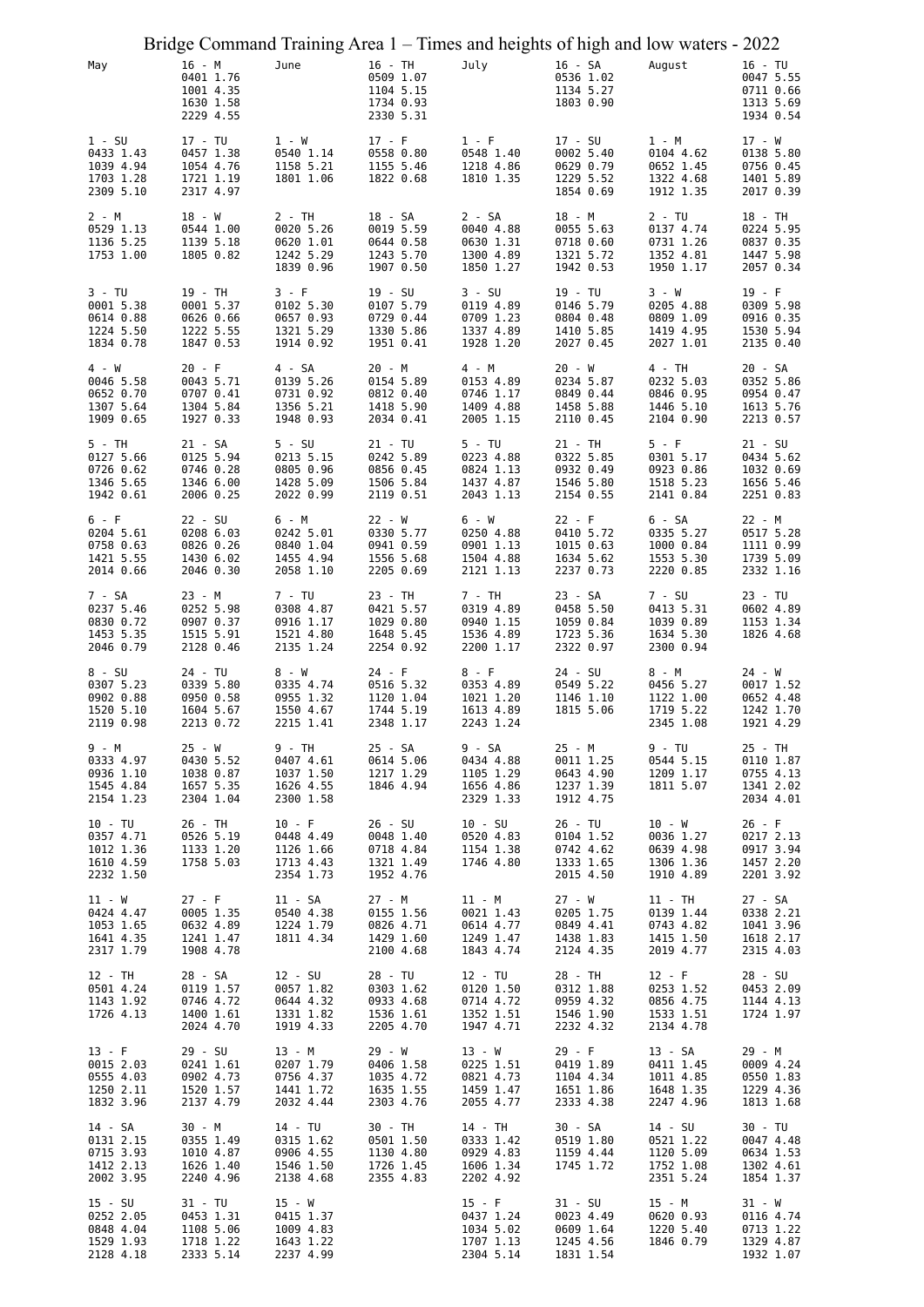|                                                               |                                                               |                                                              |                                                              | Bridge Command Training Area 1 – Times and heights of high and low waters - 2022 |                                                              |                                                              |                                                               |
|---------------------------------------------------------------|---------------------------------------------------------------|--------------------------------------------------------------|--------------------------------------------------------------|----------------------------------------------------------------------------------|--------------------------------------------------------------|--------------------------------------------------------------|---------------------------------------------------------------|
| May                                                           | 16 - M<br>0401 1.76<br>1001 4.35<br>1630 1.58<br>2229 4.55    | June                                                         | 16 - TH<br>0509 1.07<br>1104 5.15<br>1734 0.93<br>2330 5.31  | July                                                                             | 16 - SA<br>0536 1.02<br>1134 5.27<br>1803 0.90               | August                                                       | $16 - TU$<br>0047 5.55<br>0711 0.66<br>1313 5.69<br>1934 0.54 |
| $1 - SU$<br>0433 1.43<br>1039 4.94<br>1703 1.28<br>2309 5.10  | 17 - TU<br>0457 1.38<br>1054 4.76<br>1721 1.19<br>2317 4.97   | $1 - W$<br>0540 1.14<br>1158 5.21<br>1801 1.06               | $17 - F$<br>0558 0.80<br>1155 5.46<br>1822 0.68              | $1 - F$<br>0548 1.40<br>1218 4.86<br>1810 1.35                                   | 17 - SU<br>0002 5.40<br>0629 0.79<br>1229 5.52<br>1854 0.69  | 1 - M<br>0104 4.62<br>0652 1.45<br>1322 4.68<br>1912 1.35    | $17 - W$<br>0138 5.80<br>0756 0.45<br>1401 5.89<br>2017 0.39  |
| $2 - M$<br>0529 1.13<br>1136 5.25<br>1753 1.00                | 18 - W<br>0544 1.00<br>1139 5.18<br>1805 0.82                 | 2 - TH<br>0020 5.26<br>0620 1.01<br>1242 5.29<br>1839 0.96   | 18 - SA<br>0019 5.59<br>0644 0.58<br>1243 5.70<br>1907 0.50  | 2 - SA<br>0040 4.88<br>0630 1.31<br>1300 4.89<br>1850 1.27                       | 18 - M<br>0055 5.63<br>0718 0.60<br>1321 5.72<br>1942 0.53   | $2 - TU$<br>0137 4.74<br>0731 1.26<br>1352 4.81<br>1950 1.17 | 18 - TH<br>0224 5.95<br>0837 0.35<br>1447 5.98<br>2057 0.34   |
| 3 - TU<br>0001 5.38<br>0614 0.88<br>1224 5.50<br>1834 0.78    | 19 - TH<br>0001 5.37<br>0626 0.66<br>1222 5.55<br>1847 0.53   | 3 - F<br>0102 5.30<br>0657 0.93<br>1321 5.29<br>1914 0.92    | 19 - SU<br>0107 5.79<br>0729 0.44<br>1330 5.86<br>1951 0.41  | $3 - SU$<br>0119 4.89<br>0709 1.23<br>1337 4.89<br>1928 1.20                     | 19 - TU<br>0146 5.79<br>0804 0.48<br>1410 5.85<br>2027 0.45  | 3 - W<br>0205 4.88<br>0809 1.09<br>1419 4.95<br>2027 1.01    | $19 - F$<br>0309 5.98<br>0916 0.35<br>1530 5.94<br>2135 0.40  |
| 4 - W<br>0046 5.58<br>0652 0.70<br>1307 5.64<br>1909 0.65     | $20 - F$<br>0043 5.71<br>0707 0.41<br>1304 5.84<br>1927 0.33  | 4 - SA<br>0139 5.26<br>0731 0.92<br>1356 5.21<br>1948 0.93   | 20 - M<br>0154 5.89<br>0812 0.40<br>1418 5.90<br>2034 0.41   | 4 - M<br>0153 4.89<br>0746 1.17<br>1409 4.88<br>2005 1.15                        | 20 - W<br>0234 5.87<br>0849 0.44<br>1458 5.88<br>2110 0.45   | 4 - TH<br>0232 5.03<br>0846 0.95<br>1446 5.10<br>2104 0.90   | 20 - SA<br>0352 5.86<br>0954 0.47<br>1613 5.76<br>2213 0.57   |
| 5 - TH<br>0127 5.66<br>0726 0.62<br>1346 5.65<br>1942 0.61    | 21 - SA<br>0125 5.94<br>0746 0.28<br>1346 6.00<br>2006 0.25   | $5 - SU$<br>0213 5.15<br>0805 0.96<br>1428 5.09<br>2022 0.99 | 21 - TU<br>0242 5.89<br>0856 0.45<br>1506 5.84<br>2119 0.51  | $5 - TU$<br>0223 4.88<br>0824 1.13<br>1437 4.87<br>2043 1.13                     | 21 - TH<br>0322 5.85<br>0932 0.49<br>1546 5.80<br>2154 0.55  | $5 - F$<br>0301 5.17<br>0923 0.86<br>1518 5.23<br>2141 0.84  | $21 - SU$<br>0434 5.62<br>1032 0.69<br>1656 5.46<br>2251 0.83 |
| 6 - F<br>0204 5.61<br>0758 0.63<br>1421 5.55<br>2014 0.66     | $22 - SU$<br>0208 6.03<br>0826 0.26<br>1430 6.02<br>2046 0.30 | 6 - M<br>0242 5.01<br>0840 1.04<br>1455 4.94<br>2058 1.10    | 22 - W<br>0330 5.77<br>0941 0.59<br>1556 5.68<br>2205 0.69   | 6 - W<br>0250 4.88<br>0901 1.13<br>1504 4.88<br>2121 1.13                        | $22 - F$<br>0410 5.72<br>1015 0.63<br>1634 5.62<br>2237 0.73 | 6 - SA<br>0335 5.27<br>1000 0.84<br>1553 5.30<br>2220 0.85   | 22 - M<br>0517 5.28<br>1111 0.99<br>1739 5.09<br>2332 1.16    |
| 7 - SA<br>0237 5.46<br>0830 0.72<br>1453 5.35<br>2046 0.79    | 23 - M<br>0252 5.98<br>0907 0.37<br>1515 5.91<br>2128 0.46    | 7 - TU<br>0308 4.87<br>0916 1.17<br>1521 4.80<br>2135 1.24   | 23 - TH<br>0421 5.57<br>1029 0.80<br>1648 5.45<br>2254 0.92  | 7 - TH<br>0319 4.89<br>0940 1.15<br>1536 4.89<br>2200 1.17                       | 23 - SA<br>0458 5.50<br>1059 0.84<br>1723 5.36<br>2322 0.97  | 7 - SU<br>0413 5.31<br>1039 0.89<br>1634 5.30<br>2300 0.94   | 23 - TU<br>0602 4.89<br>1153 1.34<br>1826 4.68                |
| 8 - SU<br>0307 5.23<br>0902 0.88<br>1520 5.10<br>2119 0.98    | 24 - TU<br>0339 5.80<br>0950 0.58<br>1604 5.67<br>2213 0.72   | 8 - W<br>0335 4.74<br>0955 1.32<br>1550 4.67<br>2215 1.41    | $24 - F$<br>0516 5.32<br>1120 1.04<br>1744 5.19<br>2348 1.17 | $8 - F$<br>0353 4.89<br>1021 1.20<br>1613 4.89<br>2243 1.24                      | 24 - SU<br>0549 5.22<br>1146 1.10<br>1815 5.06               | 8 - M<br>0456 5.27<br>1122 1.00<br>1719 5.22<br>2345 1.08    | 24 - W<br>0017 1.52<br>0652 4.48<br>1242 1.70<br>1921 4.29    |
| 9 - M<br>0333 4.97<br>0936 1.10<br>1545 4.84<br>2154 1.23     | 25 - W<br>0430 5.52<br>1038 0.87<br>1657 5.35<br>2304 1.04    | 9 - TH<br>0407 4.61<br>1037 1.50<br>1626 4.55<br>2300 1.58   | 25 - SA<br>0614 5.06<br>1217 1.29<br>1846 4.94               | 9 - SA<br>0434 4.88<br>1105 1.29<br>1656 4.86<br>2329 1.33                       | 25 - M<br>0011 1.25<br>0643 4.90<br>1237 1.39<br>1912 4.75   | 9 - TU<br>0544 5.15<br>1209 1.17<br>1811 5.07                | 25 - TH<br>0110 1.87<br>0755 4.13<br>1341 2.02<br>2034 4.01   |
| $10 - TU$<br>0357 4.71<br>1012 1.36<br>1610 4.59<br>2232 1.50 | 26 - TH<br>0526 5.19<br>1133 1.20<br>1758 5.03                | $10 - F$<br>0448 4.49<br>1126 1.66<br>1713 4.43<br>2354 1.73 | 26 - SU<br>0048 1.40<br>0718 4.84<br>1321 1.49<br>1952 4.76  | $10 - SU$<br>0520 4.83<br>1154 1.38<br>1746 4.80                                 | 26 - TU<br>0104 1.52<br>0742 4.62<br>1333 1.65<br>2015 4.50  | 10 - W<br>0036 1.27<br>0639 4.98<br>1306 1.36<br>1910 4.89   | $26 - F$<br>0217 2.13<br>0917 3.94<br>1457 2.20<br>2201 3.92  |
| 11 - W<br>0424 4.47<br>1053 1.65<br>1641 4.35<br>2317 1.79    | $27 - F$<br>0005 1.35<br>0632 4.89<br>1241 1.47<br>1908 4.78  | 11 - SA<br>0540 4.38<br>1224 1.79<br>1811 4.34               | 27 - M<br>0155 1.56<br>0826 4.71<br>1429 1.60<br>2100 4.68   | 11 - M<br>0021 1.43<br>0614 4.77<br>1249 1.47<br>1843 4.74                       | 27 - W<br>0205 1.75<br>0849 4.41<br>1438 1.83<br>2124 4.35   | 11 - TH<br>0139 1.44<br>0743 4.82<br>1415 1.50<br>2019 4.77  | 27 - SA<br>0338 2.21<br>1041 3.96<br>1618 2.17<br>2315 4.03   |
| 12 - TH<br>0501 4.24<br>1143 1.92<br>1726 4.13                | 28 - SA<br>0119 1.57<br>0746 4.72<br>1400 1.61<br>2024 4.70   | 12 - SU<br>0057 1.82<br>0644 4.32<br>1331 1.82<br>1919 4.33  | 28 - TU<br>0303 1.62<br>0933 4.68<br>1536 1.61<br>2205 4.70  | 12 - TU<br>0120 1.50<br>0714 4.72<br>1352 1.51<br>1947 4.71                      | 28 - TH<br>0312 1.88<br>0959 4.32<br>1546 1.90<br>2232 4.32  | $12 - F$<br>0253 1.52<br>0856 4.75<br>1533 1.51<br>2134 4.78 | 28 - SU<br>0453 2.09<br>1144 4.13<br>1724 1.97                |
| $13 - F$<br>0015 2.03<br>0555 4.03<br>1250 2.11<br>1832 3.96  | 29 - SU<br>0241 1.61<br>0902 4.73<br>1520 1.57<br>2137 4.79   | 13 - M<br>0207 1.79<br>0756 4.37<br>1441 1.72<br>2032 4.44   | $29 - W$<br>0406 1.58<br>1035 4.72<br>1635 1.55<br>2303 4.76 | 13 - W<br>0225 1.51<br>0821 4.73<br>1459 1.47<br>2055 4.77                       | $29 - F$<br>0419 1.89<br>1104 4.34<br>1651 1.86<br>2333 4.38 | 13 - SA<br>0411 1.45<br>1011 4.85<br>1648 1.35<br>2247 4.96  | 29 - M<br>0009 4.24<br>0550 1.83<br>1229 4.36<br>1813 1.68    |
| 14 - SA<br>0131 2.15<br>0715 3.93<br>1412 2.13<br>2002 3.95   | 30 - M<br>0355 1.49<br>1010 4.87<br>1626 1.40<br>2240 4.96    | 14 - TU<br>0315 1.62<br>0906 4.55<br>1546 1.50<br>2138 4.68  | 30 - TH<br>0501 1.50<br>1130 4.80<br>1726 1.45<br>2355 4.83  | 14 - TH<br>0333 1.42<br>0929 4.83<br>1606 1.34<br>2202 4.92                      | 30 - SA<br>0519 1.80<br>1159 4.44<br>1745 1.72               | 14 - SU<br>0521 1.22<br>1120 5.09<br>1752 1.08<br>2351 5.24  | 30 - TU<br>0047 4.48<br>0634 1.53<br>1302 4.61<br>1854 1.37   |
| 15 - SU<br>0252 2.05<br>0848 4.04<br>1529 1.93<br>2128 4.18   | 31 - TU<br>0453 1.31<br>1108 5.06<br>1718 1.22<br>2333 5.14   | 15 - W<br>0415 1.37<br>1009 4.83<br>1643 1.22<br>2237 4.99   |                                                              | $15 - F$<br>0437 1.24<br>1034 5.02<br>1707 1.13<br>2304 5.14                     | 31 - SU<br>0023 4.49<br>0609 1.64<br>1245 4.56<br>1831 1.54  | 15 - M<br>0620 0.93<br>1220 5.40<br>1846 0.79                | 31 - W<br>0116 4.74<br>0713 1.22<br>1329 4.87<br>1932 1.07    |